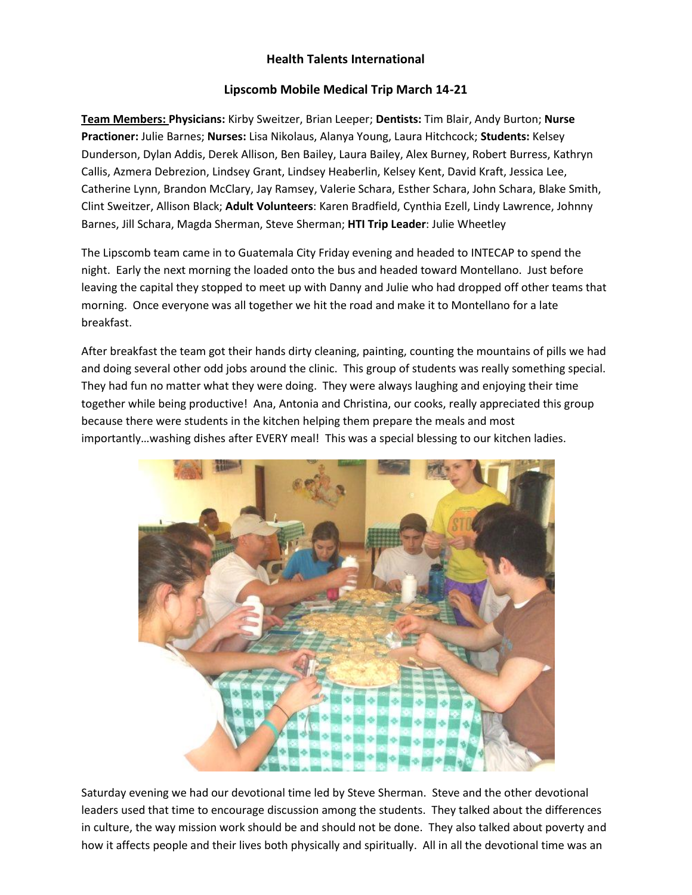## **Health Talents International**

## **Lipscomb Mobile Medical Trip March 14-21**

**Team Members: Physicians:** Kirby Sweitzer, Brian Leeper; **Dentists:** Tim Blair, Andy Burton; **Nurse Practioner:** Julie Barnes; **Nurses:** Lisa Nikolaus, Alanya Young, Laura Hitchcock; **Students:** Kelsey Dunderson, Dylan Addis, Derek Allison, Ben Bailey, Laura Bailey, Alex Burney, Robert Burress, Kathryn Callis, Azmera Debrezion, Lindsey Grant, Lindsey Heaberlin, Kelsey Kent, David Kraft, Jessica Lee, Catherine Lynn, Brandon McClary, Jay Ramsey, Valerie Schara, Esther Schara, John Schara, Blake Smith, Clint Sweitzer, Allison Black; **Adult Volunteers**: Karen Bradfield, Cynthia Ezell, Lindy Lawrence, Johnny Barnes, Jill Schara, Magda Sherman, Steve Sherman; **HTI Trip Leader**: Julie Wheetley

The Lipscomb team came in to Guatemala City Friday evening and headed to INTECAP to spend the night. Early the next morning the loaded onto the bus and headed toward Montellano. Just before leaving the capital they stopped to meet up with Danny and Julie who had dropped off other teams that morning. Once everyone was all together we hit the road and make it to Montellano for a late breakfast.

After breakfast the team got their hands dirty cleaning, painting, counting the mountains of pills we had and doing several other odd jobs around the clinic. This group of students was really something special. They had fun no matter what they were doing. They were always laughing and enjoying their time together while being productive! Ana, Antonia and Christina, our cooks, really appreciated this group because there were students in the kitchen helping them prepare the meals and most importantly…washing dishes after EVERY meal! This was a special blessing to our kitchen ladies.



Saturday evening we had our devotional time led by Steve Sherman. Steve and the other devotional leaders used that time to encourage discussion among the students. They talked about the differences in culture, the way mission work should be and should not be done. They also talked about poverty and how it affects people and their lives both physically and spiritually. All in all the devotional time was an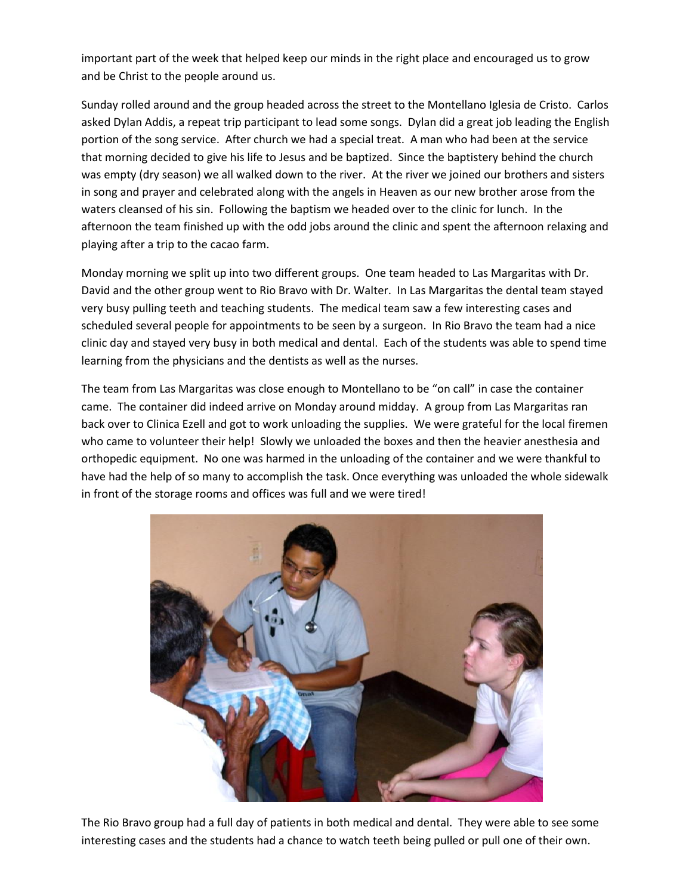important part of the week that helped keep our minds in the right place and encouraged us to grow and be Christ to the people around us.

Sunday rolled around and the group headed across the street to the Montellano Iglesia de Cristo. Carlos asked Dylan Addis, a repeat trip participant to lead some songs. Dylan did a great job leading the English portion of the song service. After church we had a special treat. A man who had been at the service that morning decided to give his life to Jesus and be baptized. Since the baptistery behind the church was empty (dry season) we all walked down to the river. At the river we joined our brothers and sisters in song and prayer and celebrated along with the angels in Heaven as our new brother arose from the waters cleansed of his sin. Following the baptism we headed over to the clinic for lunch. In the afternoon the team finished up with the odd jobs around the clinic and spent the afternoon relaxing and playing after a trip to the cacao farm.

Monday morning we split up into two different groups. One team headed to Las Margaritas with Dr. David and the other group went to Rio Bravo with Dr. Walter. In Las Margaritas the dental team stayed very busy pulling teeth and teaching students. The medical team saw a few interesting cases and scheduled several people for appointments to be seen by a surgeon. In Rio Bravo the team had a nice clinic day and stayed very busy in both medical and dental. Each of the students was able to spend time learning from the physicians and the dentists as well as the nurses.

The team from Las Margaritas was close enough to Montellano to be "on call" in case the container came. The container did indeed arrive on Monday around midday. A group from Las Margaritas ran back over to Clinica Ezell and got to work unloading the supplies. We were grateful for the local firemen who came to volunteer their help! Slowly we unloaded the boxes and then the heavier anesthesia and orthopedic equipment. No one was harmed in the unloading of the container and we were thankful to have had the help of so many to accomplish the task. Once everything was unloaded the whole sidewalk in front of the storage rooms and offices was full and we were tired!



The Rio Bravo group had a full day of patients in both medical and dental. They were able to see some interesting cases and the students had a chance to watch teeth being pulled or pull one of their own.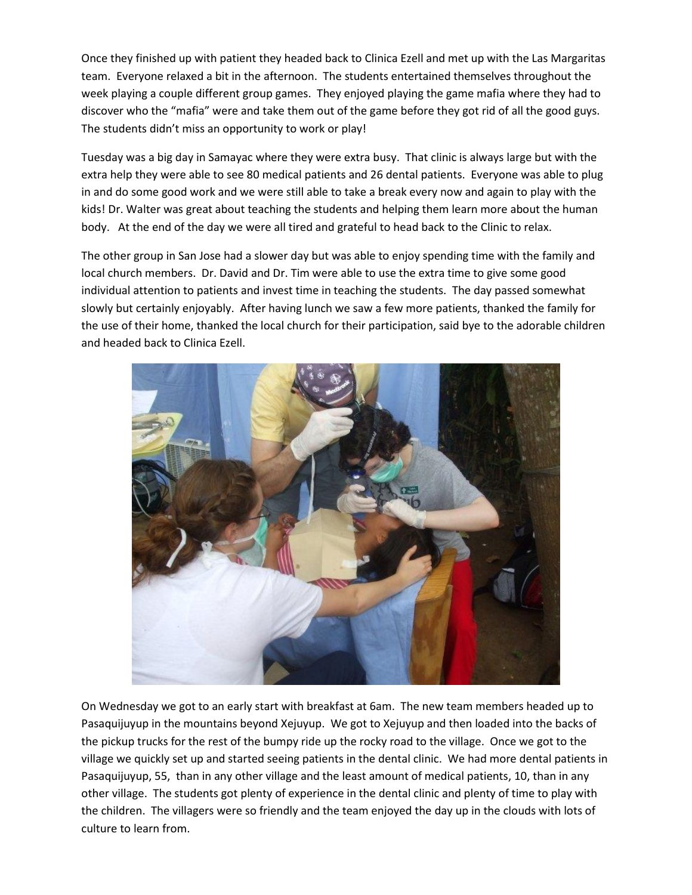Once they finished up with patient they headed back to Clinica Ezell and met up with the Las Margaritas team. Everyone relaxed a bit in the afternoon. The students entertained themselves throughout the week playing a couple different group games. They enjoyed playing the game mafia where they had to discover who the "mafia" were and take them out of the game before they got rid of all the good guys. The students didn't miss an opportunity to work or play!

Tuesday was a big day in Samayac where they were extra busy. That clinic is always large but with the extra help they were able to see 80 medical patients and 26 dental patients. Everyone was able to plug in and do some good work and we were still able to take a break every now and again to play with the kids! Dr. Walter was great about teaching the students and helping them learn more about the human body. At the end of the day we were all tired and grateful to head back to the Clinic to relax.

The other group in San Jose had a slower day but was able to enjoy spending time with the family and local church members. Dr. David and Dr. Tim were able to use the extra time to give some good individual attention to patients and invest time in teaching the students. The day passed somewhat slowly but certainly enjoyably. After having lunch we saw a few more patients, thanked the family for the use of their home, thanked the local church for their participation, said bye to the adorable children and headed back to Clinica Ezell.



On Wednesday we got to an early start with breakfast at 6am. The new team members headed up to Pasaquijuyup in the mountains beyond Xejuyup. We got to Xejuyup and then loaded into the backs of the pickup trucks for the rest of the bumpy ride up the rocky road to the village. Once we got to the village we quickly set up and started seeing patients in the dental clinic. We had more dental patients in Pasaquijuyup, 55, than in any other village and the least amount of medical patients, 10, than in any other village. The students got plenty of experience in the dental clinic and plenty of time to play with the children. The villagers were so friendly and the team enjoyed the day up in the clouds with lots of culture to learn from.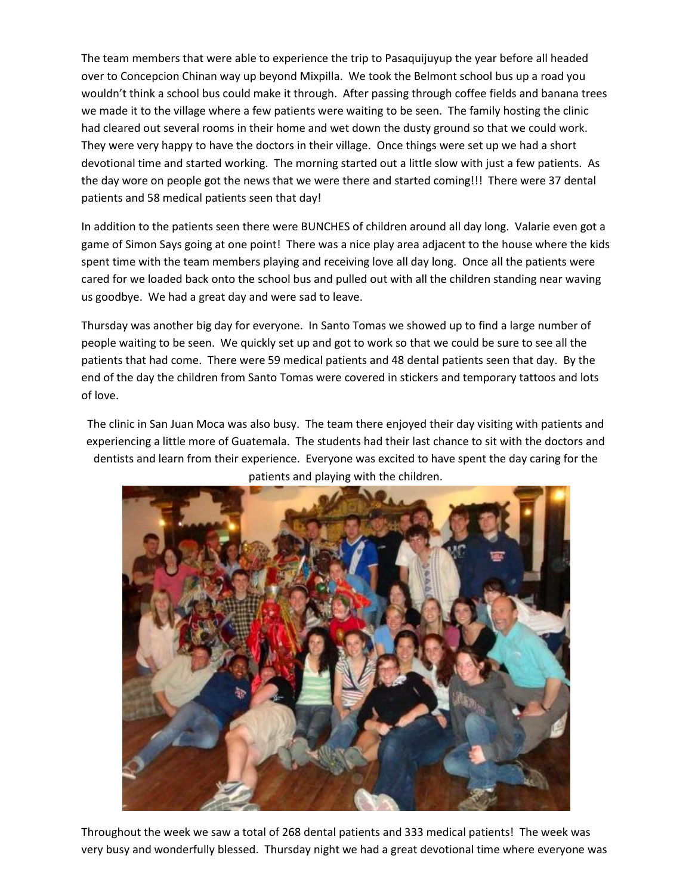The team members that were able to experience the trip to Pasaquijuyup the year before all headed over to Concepcion Chinan way up beyond Mixpilla. We took the Belmont school bus up a road you wouldn't think a school bus could make it through. After passing through coffee fields and banana trees we made it to the village where a few patients were waiting to be seen. The family hosting the clinic had cleared out several rooms in their home and wet down the dusty ground so that we could work. They were very happy to have the doctors in their village. Once things were set up we had a short devotional time and started working. The morning started out a little slow with just a few patients. As the day wore on people got the news that we were there and started coming!!! There were 37 dental patients and 58 medical patients seen that day!

In addition to the patients seen there were BUNCHES of children around all day long. Valarie even got a game of Simon Says going at one point! There was a nice play area adjacent to the house where the kids spent time with the team members playing and receiving love all day long. Once all the patients were cared for we loaded back onto the school bus and pulled out with all the children standing near waving us goodbye. We had a great day and were sad to leave.

Thursday was another big day for everyone. In Santo Tomas we showed up to find a large number of people waiting to be seen. We quickly set up and got to work so that we could be sure to see all the patients that had come. There were 59 medical patients and 48 dental patients seen that day. By the end of the day the children from Santo Tomas were covered in stickers and temporary tattoos and lots of love.

The clinic in San Juan Moca was also busy. The team there enjoyed their day visiting with patients and experiencing a little more of Guatemala. The students had their last chance to sit with the doctors and dentists and learn from their experience. Everyone was excited to have spent the day caring for the patients and playing with the children.



Throughout the week we saw a total of 268 dental patients and 333 medical patients! The week was very busy and wonderfully blessed. Thursday night we had a great devotional time where everyone was